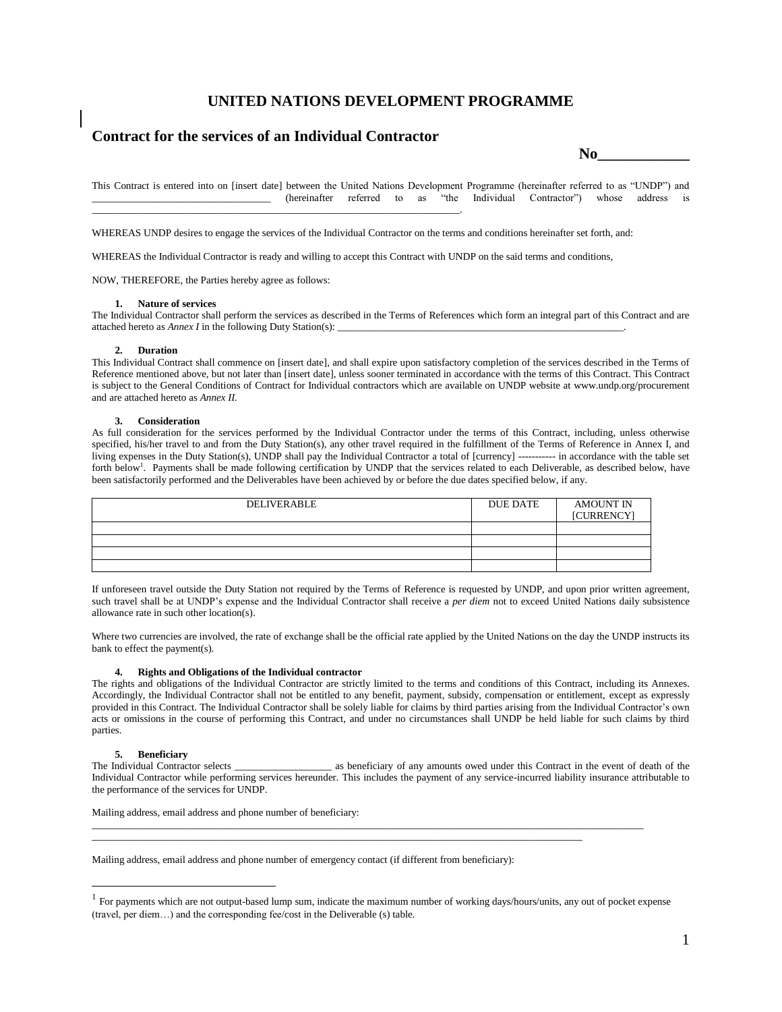# **UNITED NATIONS DEVELOPMENT PROGRAMME**

# **Contract for the services of an Individual Contractor**

 $\bf No$ 

This Contract is entered into on [insert date] between the United Nations Development Programme (hereinafter referred to as "UNDP") and \_\_\_\_\_\_\_\_\_\_\_\_\_\_\_\_\_\_\_\_\_\_\_\_\_\_\_\_\_\_\_\_\_\_\_ (hereinafter referred to as "the Individual Contractor") whose address is \_\_\_\_\_\_\_\_\_\_\_\_\_\_\_\_\_\_\_\_\_\_\_\_\_\_\_\_\_\_\_\_\_\_\_\_\_\_\_\_\_\_\_\_\_\_\_\_\_\_\_\_\_\_\_\_\_\_\_\_\_\_\_\_\_\_\_\_\_\_\_\_.

WHEREAS UNDP desires to engage the services of the Individual Contractor on the terms and conditions hereinafter set forth, and:

WHEREAS the Individual Contractor is ready and willing to accept this Contract with UNDP on the said terms and conditions,

NOW, THEREFORE, the Parties hereby agree as follows:

#### **1. Nature of services**

The Individual Contractor shall perform the services as described in the Terms of References which form an integral part of this Contract and are attached hereto as *Annex I* in the following Duty Station(s):

#### **2. Duration**

This Individual Contract shall commence on [insert date], and shall expire upon satisfactory completion of the services described in the Terms of Reference mentioned above, but not later than [insert date], unless sooner terminated in accordance with the terms of this Contract. This Contract is subject to the General Conditions of Contract for Individual contractors which are available on UNDP website at www.undp.org/procurement and are attached hereto as *Annex II.*

#### **3. Consideration**

As full consideration for the services performed by the Individual Contractor under the terms of this Contract, including, unless otherwise specified, his/her travel to and from the Duty Station(s), any other travel required in the fulfillment of the Terms of Reference in Annex I, and living expenses in the Duty Station(s), UNDP shall pay the Individual Contractor a total of [currency] ----------- in accordance with the table set forth below<sup>1</sup>. Payments shall be made following certification by UNDP that the services related to each Deliverable, as described below, have been satisfactorily performed and the Deliverables have been achieved by or before the due dates specified below, if any.

| <b>DELIVERABLE</b> | DUE DATE | <b>AMOUNT IN</b><br><b>[CURRENCY]</b> |
|--------------------|----------|---------------------------------------|
|                    |          |                                       |
|                    |          |                                       |
|                    |          |                                       |
|                    |          |                                       |

If unforeseen travel outside the Duty Station not required by the Terms of Reference is requested by UNDP, and upon prior written agreement, such travel shall be at UNDP's expense and the Individual Contractor shall receive a *per diem* not to exceed United Nations daily subsistence allowance rate in such other location(s).

Where two currencies are involved, the rate of exchange shall be the official rate applied by the United Nations on the day the UNDP instructs its bank to effect the payment(s).

## **4. Rights and Obligations of the Individual contractor**

The rights and obligations of the Individual Contractor are strictly limited to the terms and conditions of this Contract, including its Annexes. Accordingly, the Individual Contractor shall not be entitled to any benefit, payment, subsidy, compensation or entitlement, except as expressly provided in this Contract. The Individual Contractor shall be solely liable for claims by third parties arising from the Individual Contractor's own acts or omissions in the course of performing this Contract, and under no circumstances shall UNDP be held liable for such claims by third parties.

## **5. Beneficiary**

 $\overline{a}$ 

The Individual Contractor selects \_\_\_\_\_\_\_\_\_\_\_\_\_\_\_\_\_\_\_ as beneficiary of any amounts owed under this Contract in the event of death of the Individual Contractor while performing services hereunder. This includes the payment of any service-incurred liability insurance attributable to the performance of the services for UNDP.

Mailing address, email address and phone number of beneficiary:

Mailing address, email address and phone number of emergency contact (if different from beneficiary):

\_\_\_\_\_\_\_\_\_\_\_\_\_\_\_\_\_\_\_\_\_\_\_\_\_\_\_\_\_\_\_\_\_\_\_\_\_\_\_\_\_\_\_\_\_\_\_\_\_\_\_\_\_\_\_\_\_\_\_\_\_\_\_\_\_\_\_\_\_\_\_\_\_\_\_\_\_\_\_\_\_\_\_\_\_\_\_\_\_\_\_\_\_\_\_\_\_\_\_\_\_\_\_\_\_\_\_\_

 $\_$  ,  $\_$  ,  $\_$  ,  $\_$  ,  $\_$  ,  $\_$  ,  $\_$  ,  $\_$  ,  $\_$  ,  $\_$  ,  $\_$  ,  $\_$  ,  $\_$  ,  $\_$  ,  $\_$  ,  $\_$  ,  $\_$  ,  $\_$  ,  $\_$  ,  $\_$  ,  $\_$  ,  $\_$  ,  $\_$  ,  $\_$  ,  $\_$  ,  $\_$  ,  $\_$  ,  $\_$  ,  $\_$  ,  $\_$  ,  $\_$  ,  $\_$  ,  $\_$  ,  $\_$  ,  $\_$  ,  $\_$  ,  $\_$  ,

 $<sup>1</sup>$  For payments which are not output-based lump sum, indicate the maximum number of working days/hours/units, any out of pocket expense</sup> (travel, per diem…) and the corresponding fee/cost in the Deliverable (s) table.